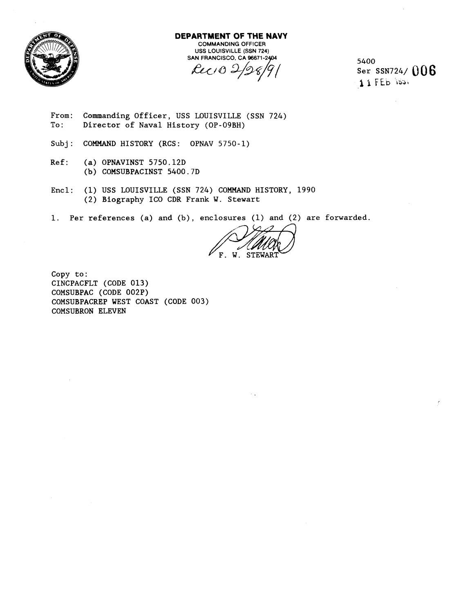

**DEPARTMENT OF THE NAVY**  COMMANDING OFFICER USS LOUISVILLE (SSN 724) SAN FRANCISCO, CA 96671-2

 $Re$  $02$ 

**5400**  Ser SSN724/ **006 <sup>f</sup>**1 FED **r33~** 

- From: Commanding Officer, USS LOUISVILLE (SSN 724) To: Director of Naval History (OP-09BH)
- Subj: COMMAND HISTORY (RCS: OPNAV 5750-1)
- Ref: (a) OPNAVINST 5750.12D (b) COMSUBPACINST 5400.7D
- Encl: (1) USS LOUISVILLE (SSN 724) COMMAND HISTORY, 1990 (2) Biography ICO CDR Frank W. Stewart

1. Per references (a) and (b), enclosures (1) and (2) are forwarded.

F. W. STEWART

Copy to : CINCPACFLT (CODE 013) COMSUBPAC (CODE 002P) COMSUBPACREP WEST COAST (CODE 003) COMSUBRON ELEVEN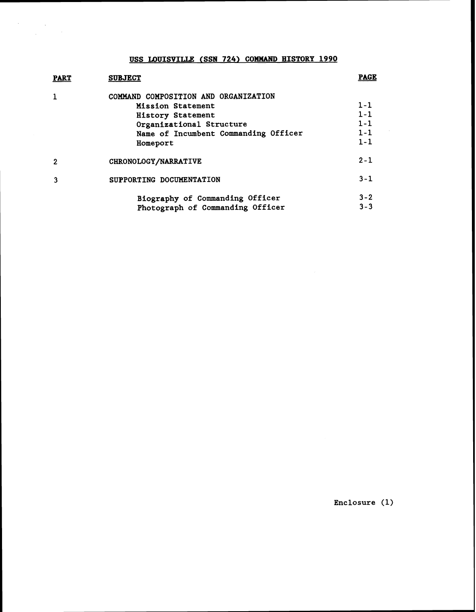**USS LOUISVILLE (SSN 724) COMMAND HISTORY 1990** 

| <b>PART</b>  | <b>SUBJECT</b>                       | <b>PAGE</b> |
|--------------|--------------------------------------|-------------|
| 1            | COMMAND COMPOSITION AND ORGANIZATION |             |
|              | Mission Statement                    | $1 - 1$     |
|              | History Statement                    | $1 - 1$     |
|              | Organizational Structure             | $1 - 1$     |
|              | Name of Incumbent Commanding Officer | $1 - 1$     |
|              | Homeport                             | $1 - 1$     |
| $\mathbf{2}$ | <b>CHRONOLOGY/NARRATIVE</b>          | $2 - 1$     |
| 3            | SUPPORTING DOCUMENTATION             | $3 - 1$     |
|              | Biography of Commanding Officer      | $3 - 2$     |
|              | Photograph of Commanding Officer     | $3 - 3$     |

**Enclosure (1)** 

 $\sim$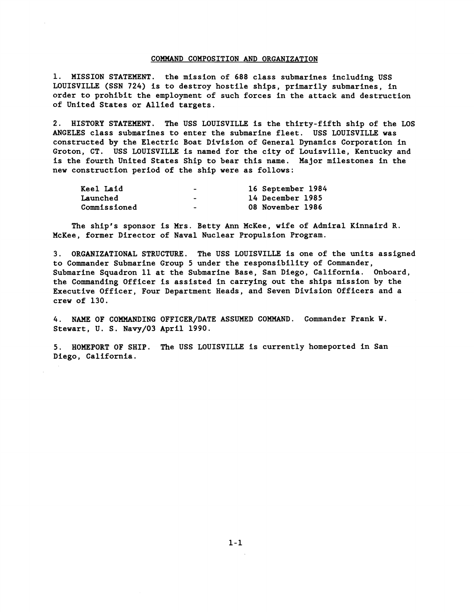## COMMAND COMPOSITION AND ORGANIZATION

1. MISSION STATEMENT. the mission of 688 class submarines including USS LOUISVILLE (SSN 724) is to destroy hostile ships, primarily submarines, in order to prohibit the employment of such forces in the attack and destruction of United States or Allied targets.

2. HISTORY STATEMENT. The USS LOUISVILLE is the thirty-fifth ship of the LOS ANGELES class submarines to enter the submarine fleet. USS LOUISVILLE was constructed by the Electric Boat Division of General Dynamics Corporation in Groton, CT. USS LOUISVILLE is named for the city of Louisville, Kentucky and is the fourth United States Ship to bear this name. Major milestones in the new construction period of the ship were as follows:

| Keel Laid           | $\overline{\phantom{a}}$ | <b>16 September 1984</b> |
|---------------------|--------------------------|--------------------------|
| Launched            | -                        | <b>14 December 1985</b>  |
| <b>Commissioned</b> | $\overline{\phantom{a}}$ | 08 November 1986         |

The ship's sponsor is Mrs. Betty Ann McKee, wife of Admiral Kinnaird R. McKee, former Director of Naval Nuclear Propulsion Program.

3. ORGANIZATIONAL STRUCTURE. The USS LOUISVILLE is one of the units assigned to Commander Submarine Group 5 under the responsibility of Commander, Submarine Squadron 11 at the Submarine Base, San Diego, California. Onboard, the Commanding Officer is assisted in carrying out the ships mission by the Executive Officer, Four Department Heads, and Seven Division Officers and a crew of 130.

4. NAME OF COMMANDING OFFICER/DATE ASSUMED COMMAND. Commander Frank W. Stewart, U. S. Navy/03 April 1990.

**5.** HOMEPORT OF SHIP. The USS LOUISVILLE is currently homeported in San Diego, California.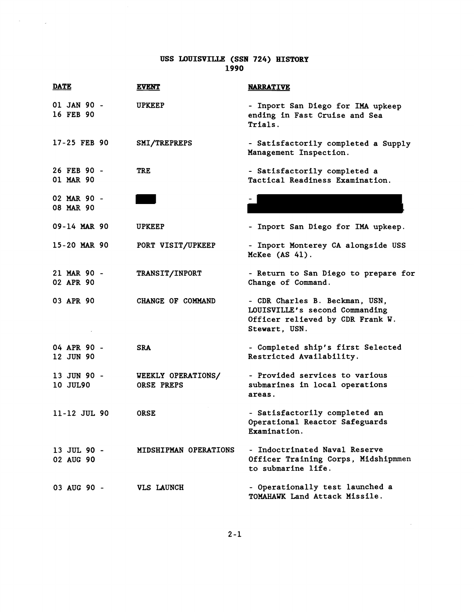## USS LOUISVILLE (SSN 724) HISTORY **1990**

 $\label{eq:2.1} \frac{1}{\sqrt{2\pi}}\sum_{i=1}^n\frac{1}{\sqrt{2\pi}}\int_{\mathbb{R}^n}\frac{1}{\sqrt{2\pi}}\int_{\mathbb{R}^n}\frac{1}{\sqrt{2\pi}}\frac{1}{\sqrt{2\pi}}\frac{1}{\sqrt{2\pi}}\frac{1}{\sqrt{2\pi}}\frac{1}{\sqrt{2\pi}}\frac{1}{\sqrt{2\pi}}\frac{1}{\sqrt{2\pi}}\frac{1}{\sqrt{2\pi}}\frac{1}{\sqrt{2\pi}}\frac{1}{\sqrt{2\pi}}\frac{1}{\sqrt{2\pi}}\frac{1}{\sqrt{2\pi}}$ 

| <b>DATE</b>              | <b>EVENT</b>                            | <b>NARRATIVE</b>                                                                                                      |
|--------------------------|-----------------------------------------|-----------------------------------------------------------------------------------------------------------------------|
| 01 JAN 90 -<br>16 FEB 90 | <b>UPKEEP</b>                           | - Inport San Diego for IMA upkeep<br>ending in Fast Cruise and Sea<br>Trials.                                         |
| 17-25 FEB 90             | SMI/TREPREPS                            | - Satisfactorily completed a Supply<br>Management Inspection.                                                         |
| 26 FEB 90 -<br>01 MAR 90 | <b>TRE</b>                              | - Satisfactorily completed a<br>Tactical Readiness Examination.                                                       |
| 02 MAR 90 -<br>08 MAR 90 |                                         |                                                                                                                       |
| 09-14 MAR 90             | <b>UPKEEP</b>                           | - Inport San Diego for IMA upkeep.                                                                                    |
| 15-20 MAR 90             | PORT VISIT/UPKEEP                       | - Inport Monterey CA alongside USS<br>McKee (AS 41).                                                                  |
| 21 MAR 90 -<br>02 APR 90 | TRANSIT/INPORT                          | - Return to San Diego to prepare for<br>Change of Command.                                                            |
| 03 APR 90                | CHANGE OF COMMAND                       | - CDR Charles B. Beckman, USN,<br>LOUISVILLE's second Commanding<br>Officer relieved by CDR Frank W.<br>Stewart, USN. |
| 04 APR 90 -<br>12 JUN 90 | <b>SRA</b>                              | - Completed ship's first Selected<br>Restricted Availability.                                                         |
| 13 JUN 90 -<br>10 JUL90  | WEEKLY OPERATIONS/<br><b>ORSE PREPS</b> | - Provided services to various<br>submarines in local operations<br>areas.                                            |
| 11-12 JUL 90             | <b>ORSE</b>                             | - Satisfactorily completed an<br>Operational Reactor Safeguards<br>Examination.                                       |
| 13 JUL 90 -<br>02 AUG 90 | MIDSHIPMAN OPERATIONS                   | - Indoctrinated Naval Reserve<br>Officer Training Corps, Midshipmmen<br>to submarine life.                            |
| 03 AUG 90 -              | <b>VLS LAUNCH</b>                       | - Operationally test launched a<br>TOMAHAWK Land Attack Missile.                                                      |

 $\sim 10^{-10}$